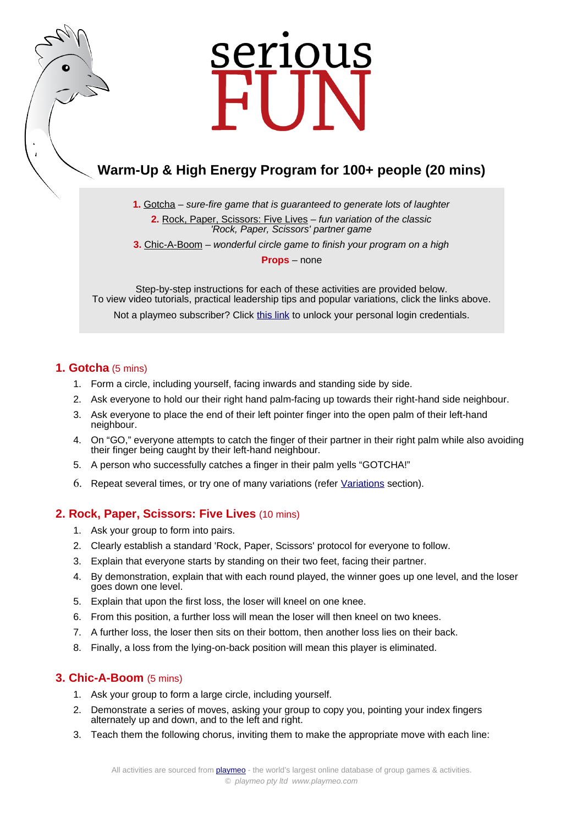# serious

# **Warm-Up & High Energy Program for 100+ people (20 mins)**

**1.** [Gotcha](https://www.playmeo.com/activities/energizer-warm-up-games/gotcha/) – sure-fire game that is guaranteed to generate lots of laughter

**2.** [Rock, Paper, Scissors: Five Lives](https://www.playmeo.com/activities/fun-large-group-games/rock-paper-scissors-five-lives/) – fun variation of the classic 'Rock, Paper, Scissors' partner game

**3.** [Chic-A-Boom](https://www.playmeo.com/activities/energizer-warm-up-games/chic-a-boom/) – wonderful circle game to finish your program on a high

**Props** – none

Step-by-step instructions for each of these activities are provided below. To view video tutorials, practical leadership tips and popular variations, click the links above. Not a playmeo subscriber? Click [this link](http://www.playmeo.com/serious-fun-offer) to unlock your personal login credentials.

### **1. Gotcha** (5 mins)

- 1. Form a circle, including yourself, facing inwards and standing side by side.
- 2. Ask everyone to hold our their right hand palm-facing up towards their right-hand side neighbour.
- 3. Ask everyone to place the end of their left pointer finger into the open palm of their left-hand neighbour.
- 4. On "GO," everyone attempts to catch the finger of their partner in their right palm while also avoiding their finger being caught by their left-hand neighbour.
- 5. A person who successfully catches a finger in their palm yells "GOTCHA!"
- 6. Repeat several times, or try one of many variations (refer [Variations](https://www.playmeo.com/activities/energizer-warm-up-games/gotcha/) section).

## **2. Rock, Paper, Scissors: Five Lives** (10 mins)

- 1. Ask your group to form into pairs.
- 2. Clearly establish a standard 'Rock, Paper, Scissors' protocol for everyone to follow.
- 3. Explain that everyone starts by standing on their two feet, facing their partner.
- 4. By demonstration, explain that with each round played, the winner goes up one level, and the loser goes down one level.
- 5. Explain that upon the first loss, the loser will kneel on one knee.
- 6. From this position, a further loss will mean the loser will then kneel on two knees.
- 7. A further loss, the loser then sits on their bottom, then another loss lies on their back.
- 8. Finally, a loss from the lying-on-back position will mean this player is eliminated.

### **3. Chic-A-Boom** (5 mins)

- 1. Ask your group to form a large circle, including yourself.
- 2. Demonstrate a series of moves, asking your group to copy you, pointing your index fingers alternately up and down, and to the left and right.
- 3. Teach them the following chorus, inviting them to make the appropriate move with each line: